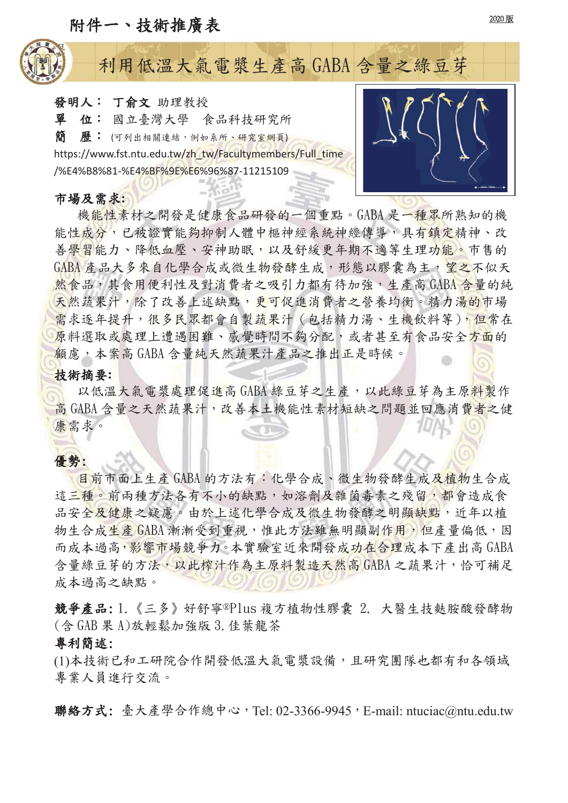## 附件一、技術推廣表



# 利用低溫大氣電漿生產高 GABA 含量之綠豆芽

發明人: 丁俞文 助理教授 單 位: 國立臺灣大學 食品科技研究所 简 歷: (可列出相關連結,例如系所、研究室網頁) https://www.fst.ntu.edu.tw/zh\_tw/Facultymembers/Full\_time /%E4%B8%81-%E4%BF%9E%E6%96%87-11215109

#### 市場及需求:

機能性素材之開發是健康食品研發的一個重點。GABA 是一種眾所熟知的機 能性成分,已被證實能夠抑制人體中樞神經系統神經傳導,具有鎮定精神、改 善學習能力、降低血壓、安神助眠,以及舒緩更年期不適等生理功能。市售的 GABA 產品大多來自化學合成或微生物發酵生成,形態以膠囊為主,望之不似天 然食品,其食用便利性及對消費者之吸引力都有待加強,生產高GABA 含量的純 天然蔬果汁,除了改善上述缺點,更可促進消費者之營養均衡。精力湯的市場 需求逐年提升,很多民眾都會自製蔬果汁(包括精力湯、生機飲料等),但常在 原料選取或處理上遭遇困難、感覺時間不夠分配,或者甚至有食品安全方面的 顧慮,本案高 GABA 含量純天然蔬果汁產品之推出正是時候。

### 技術摘要:

以低溫大氣電漿處理促進高 GABA 綠豆芽之生產,以此綠豆芽為主原料製作 高 GABA 含量之天然蔬果汁, 改善本土機能性素材短缺之問題並回應消費者之健 康需求。

## 優勢:

!

目前市面上生產 GABA 的方法有:化學合成、微生物發酵生成及植物生合成 這三種。前兩種方法各有不小的缺點,如溶劑及雜菌毒素之殘留,都會造成食 品安全及健康之疑慮。由於上述化學合成及微生物發酵之明顯缺點,近年以植 物生合成生產 GABA 漸漸受到重視,惟此方法雖無明顯副作用,但產量偏低,因 而成本過高,影響市場競爭力。本實驗室近來開發成功在合理成本下產出高GABA 含量綠豆芽的方法,以此榨汁作為主原料製造天然高GABA之蔬果汁,恰可補足 成本過高之缺點。

競爭產品:1.《三多》好舒寧®Plus 複方植物性膠囊 2. 大醫生技麩胺酸發酵物  $($   $\triangle$  GAB  $R$  A $)$ 放輕鬆加強版 3. 佳葉龍茶

#### 專利簡述:

(1)本技術已和工研院合作開發低溫大氣電漿設備,且研究團隊也都有和各領域 專業人員進行交流。

聯絡方式: 臺大產學合作總中心, Tel: 02-3366-9945, E-mail: ntuciac@ntu.edu.tw